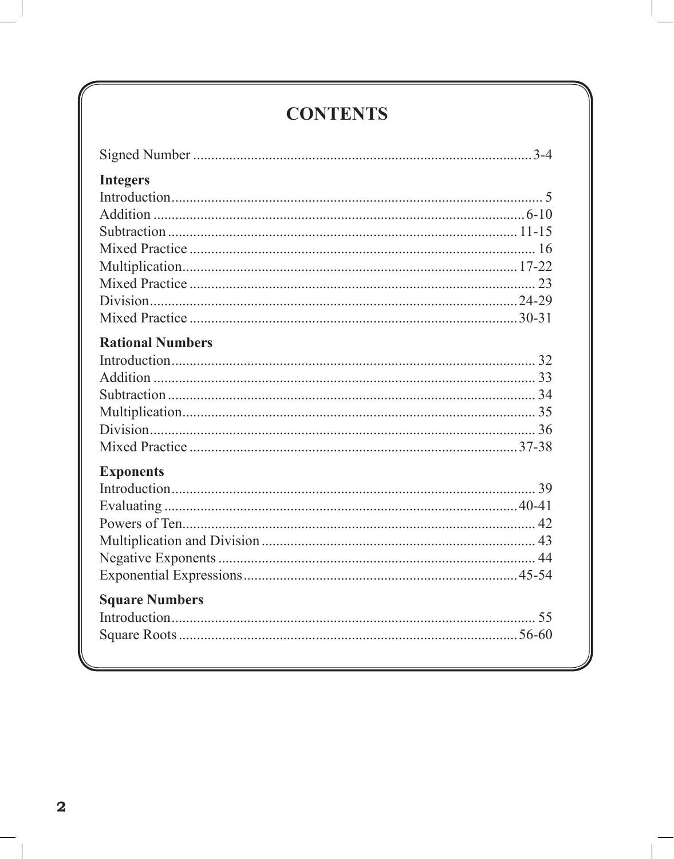## **CONTENTS**

| <b>Integers</b>         |  |
|-------------------------|--|
|                         |  |
|                         |  |
|                         |  |
|                         |  |
|                         |  |
|                         |  |
|                         |  |
|                         |  |
| <b>Rational Numbers</b> |  |
|                         |  |
|                         |  |
|                         |  |
|                         |  |
|                         |  |
|                         |  |
|                         |  |
| <b>Exponents</b>        |  |
|                         |  |
|                         |  |
|                         |  |
|                         |  |
|                         |  |
|                         |  |
| <b>Square Numbers</b>   |  |
|                         |  |
|                         |  |
|                         |  |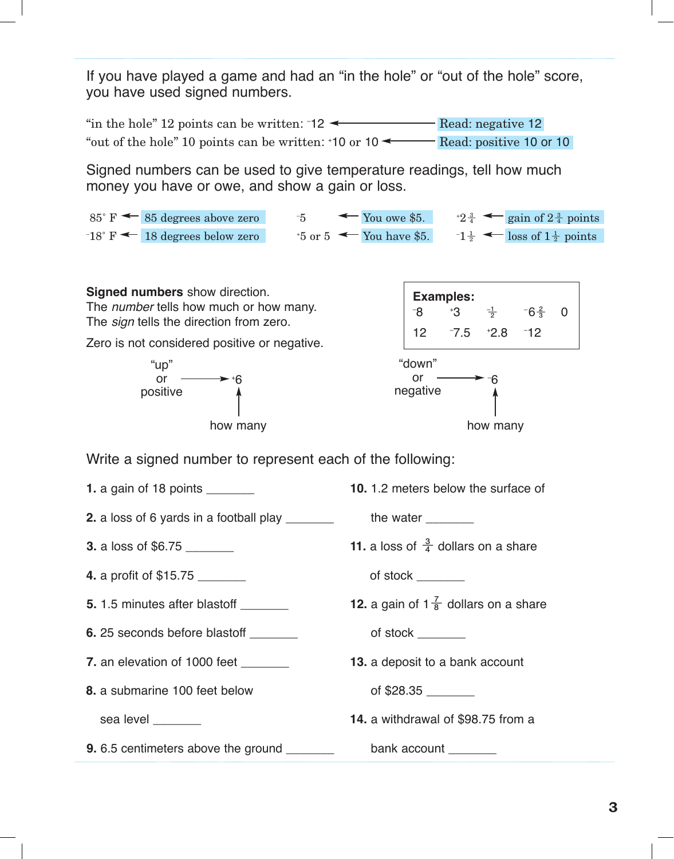If you have played a game and had an "in the hole" or "out of the hole" score, you have used signed numbers.

"in the hole" 12 points can be written:  $\text{-}12 \leftarrow$  Read: negative 12 "out of the hole" 10 points can be written:  $\text{+10}$  or  $\text{10} \leftarrow \text{}$  Read: positive 10 or 10

Signed numbers can be used to give temperature readings, tell how much money you have or owe, and show a gain or loss.

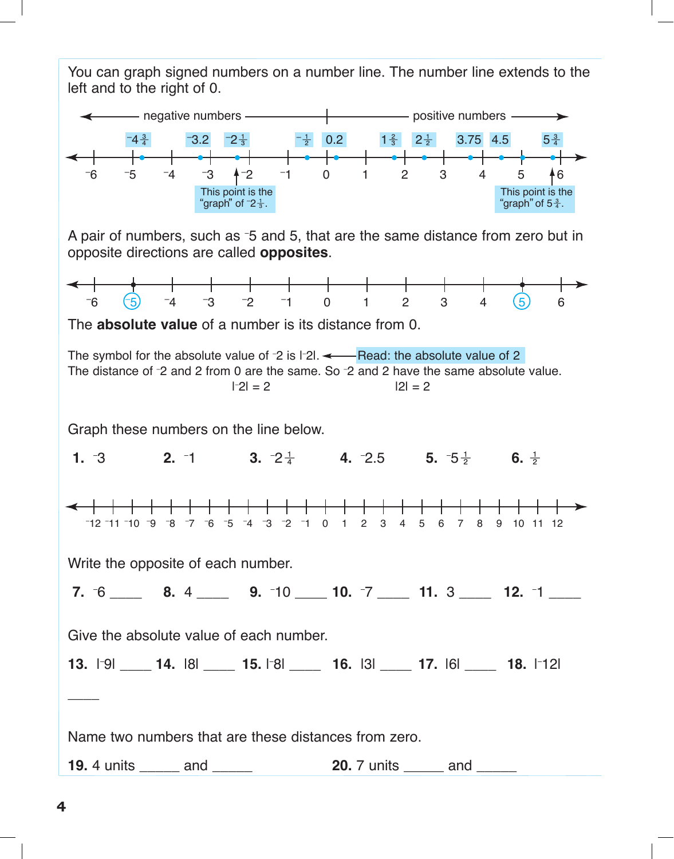You can graph signed numbers on a number line. The number line extends to the left and to the right of 0.



A pair of numbers, such as -5 and 5, that are the same distance from zero but in opposite directions are called **opposites**.

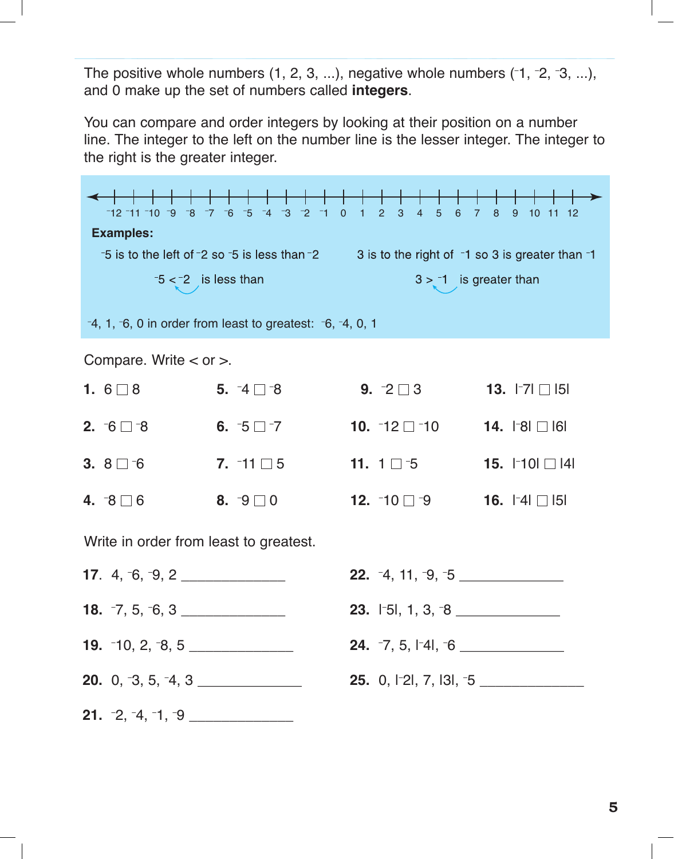The positive whole numbers  $(1, 2, 3, ...)$ , negative whole numbers  $(1, 2, 3, ...)$ , and 0 make up the set of numbers called **integers**.

You can compare and order integers by looking at their position on a number line. The integer to the left on the number line is the lesser integer. The integer to the right is the greater integer.

Ð 12 <sup>Ð</sup> 11 <sup>Ð</sup> 10 <sup>Ð</sup> 9 <sup>Ð</sup> 8 <sup>Ð</sup> 7 <sup>Ð</sup> 6 <sup>Ð</sup> 5 <sup>Ð</sup> 4 <sup>Ð</sup> 3 <sup>Ð</sup> 2 <sup>Ð</sup> 1 0 1 2 3 4 5 6 7 8 9 10 11 12 **Examples:**  $-5$  is to the left of  $-2$  so  $-5$  is less than  $-2$  3 is to the right of  $-1$  so 3 is greater than  $-1$  $3 > -1$  is greater than  $-5 < -2$  is less than – 4, 1, – 6, 0 in order from least to greatest: – 6, – 4, 0, 1 Compare. Write < or >. **1.**  $6 \square 8$  **5. 5.** <sup>−4</sup>  $\Box$  <sup>−8</sup> 9. **9.**  $-2 \square 3$ **13.**  $| -7 | \Box 15 |$ **2.** –6  $\Box$  –8  $6. -5 \Box -7$  $10. -12 \Box -10$ **14.** I<sup>−</sup>8I □ I6I **3.**  $8 \square 6$  7.  $7. -11 \square 5$  11. **15.**  $\vert$  10| □ |4| **11.**  $1 \square 5$ **1** → 0 □ c 0 0  $\overline{a}$   $\overline{a}$   $\overline{b}$  $10 - 10 = -0.$  $\overline{16}$ **4.** −8  $\Box$  6 **8.**  $\lnot 9 \square 0$ **12.**  $-10 \square -9$ **16.**  $\lceil 4 \rceil$  | 5| Write in order from least to greatest. **17**. 4, <sup>-</sup>6, <sup>-</sup>9, 2 \_\_\_\_\_\_\_\_\_\_\_\_\_\_\_\_ **22.** <sup>-</sup>4, 11, <sup>-</sup>9, <sup>-</sup>5 \_\_\_\_\_\_\_\_\_\_\_\_\_\_\_\_ **18.**  $-7, 5, -6, 3$  \_\_\_\_\_\_\_\_\_\_\_\_\_\_\_\_ **23.** I<sup>-</sup>5I, 1, 3, <sup>-</sup>8 \_\_\_\_\_\_\_\_\_\_\_\_\_\_\_\_ **19.** <sup>-</sup>10, 2, <sup>-</sup>8, 5 \_\_\_\_\_\_\_\_\_\_\_\_\_\_\_\_\_ **24.** -7, 5, I<sup>-</sup>4I, <sup>-</sup>6 \_\_\_\_\_\_\_\_\_\_\_\_\_\_\_\_ **20.** 0, <sup>-</sup>3, 5, <sup>-</sup>4, 3 \_\_\_\_\_\_\_\_\_\_\_\_\_\_\_\_ **25.** 0, I<sup>\_</sup>2l, 7, I3l, <sup>-5</sup> \_\_\_\_\_\_\_\_\_\_\_\_\_\_\_\_\_\_\_ **21.** –2, –4, –1, –9 \_\_\_\_\_\_\_\_\_\_\_\_\_\_\_\_\_